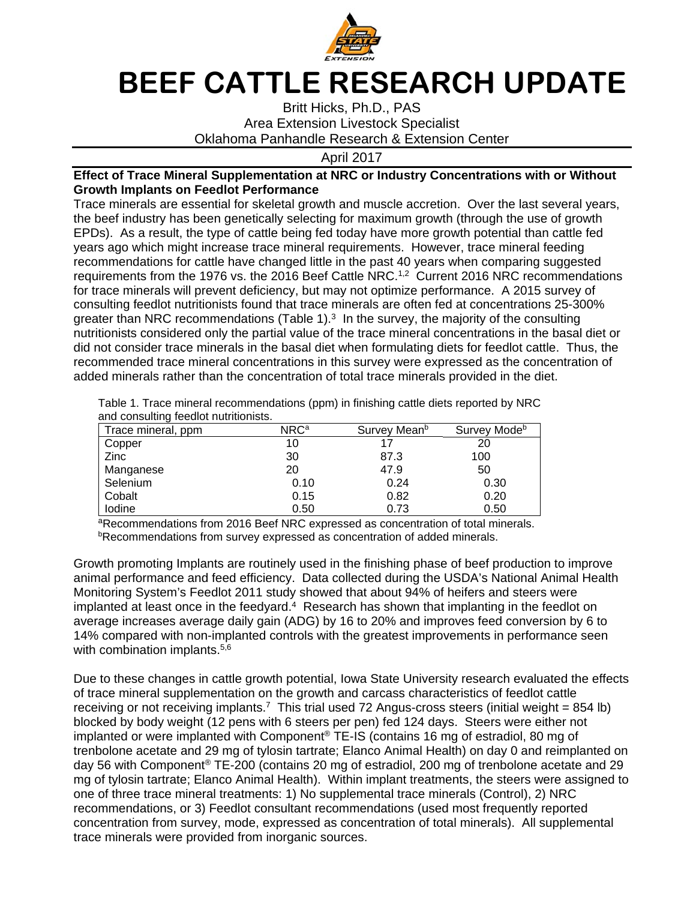

## **BEEF CATTLE RESEARCH UPDATE**

Britt Hicks, Ph.D., PAS Area Extension Livestock Specialist Oklahoma Panhandle Research & Extension Center

April 2017

## **Effect of Trace Mineral Supplementation at NRC or Industry Concentrations with or Without Growth Implants on Feedlot Performance**

Trace minerals are essential for skeletal growth and muscle accretion. Over the last several years, the beef industry has been genetically selecting for maximum growth (through the use of growth EPDs). As a result, the type of cattle being fed today have more growth potential than cattle fed years ago which might increase trace mineral requirements. However, trace mineral feeding recommendations for cattle have changed little in the past 40 years when comparing suggested requirements from the 1976 vs. the 2016 Beef Cattle NRC.<sup>1,2</sup> Current 2016 NRC recommendations for trace minerals will prevent deficiency, but may not optimize performance. A 2015 survey of consulting feedlot nutritionists found that trace minerals are often fed at concentrations 25-300% greater than NRC recommendations (Table 1).<sup>3</sup> In the survey, the majority of the consulting nutritionists considered only the partial value of the trace mineral concentrations in the basal diet or did not consider trace minerals in the basal diet when formulating diets for feedlot cattle. Thus, the recommended trace mineral concentrations in this survey were expressed as the concentration of added minerals rather than the concentration of total trace minerals provided in the diet.

Table 1. Trace mineral recommendations (ppm) in finishing cattle diets reported by NRC and consulting feedlot nutritionists.

| Trace mineral, ppm | NRC <sup>a</sup> | Survey Mean <sup>b</sup> | Survey Mode <sup>b</sup> |
|--------------------|------------------|--------------------------|--------------------------|
| Copper             | 10               | 17                       | 20                       |
| Zinc               | 30               | 87.3                     | 100                      |
| Manganese          | 20               | 47.9                     | 50                       |
| Selenium           | 0.10             | 0.24                     | 0.30                     |
| Cobalt             | 0.15             | 0.82                     | 0.20                     |
| lodine             | 0.50             | 0.73                     | 0.50                     |

aRecommendations from 2016 Beef NRC expressed as concentration of total minerals. **bRecommendations from survey expressed as concentration of added minerals.** 

Growth promoting Implants are routinely used in the finishing phase of beef production to improve animal performance and feed efficiency. Data collected during the USDA's National Animal Health Monitoring System's Feedlot 2011 study showed that about 94% of heifers and steers were implanted at least once in the feedyard.<sup>4</sup> Research has shown that implanting in the feedlot on average increases average daily gain (ADG) by 16 to 20% and improves feed conversion by 6 to 14% compared with non-implanted controls with the greatest improvements in performance seen with combination implants.<sup>5,6</sup>

Due to these changes in cattle growth potential, Iowa State University research evaluated the effects of trace mineral supplementation on the growth and carcass characteristics of feedlot cattle receiving or not receiving implants.<sup>7</sup> This trial used 72 Angus-cross steers (initial weight = 854 lb) blocked by body weight (12 pens with 6 steers per pen) fed 124 days. Steers were either not implanted or were implanted with Component® TE-IS (contains 16 mg of estradiol, 80 mg of trenbolone acetate and 29 mg of tylosin tartrate; Elanco Animal Health) on day 0 and reimplanted on day 56 with Component® TE-200 (contains 20 mg of estradiol, 200 mg of trenbolone acetate and 29 mg of tylosin tartrate; Elanco Animal Health). Within implant treatments, the steers were assigned to one of three trace mineral treatments: 1) No supplemental trace minerals (Control), 2) NRC recommendations, or 3) Feedlot consultant recommendations (used most frequently reported concentration from survey, mode, expressed as concentration of total minerals). All supplemental trace minerals were provided from inorganic sources.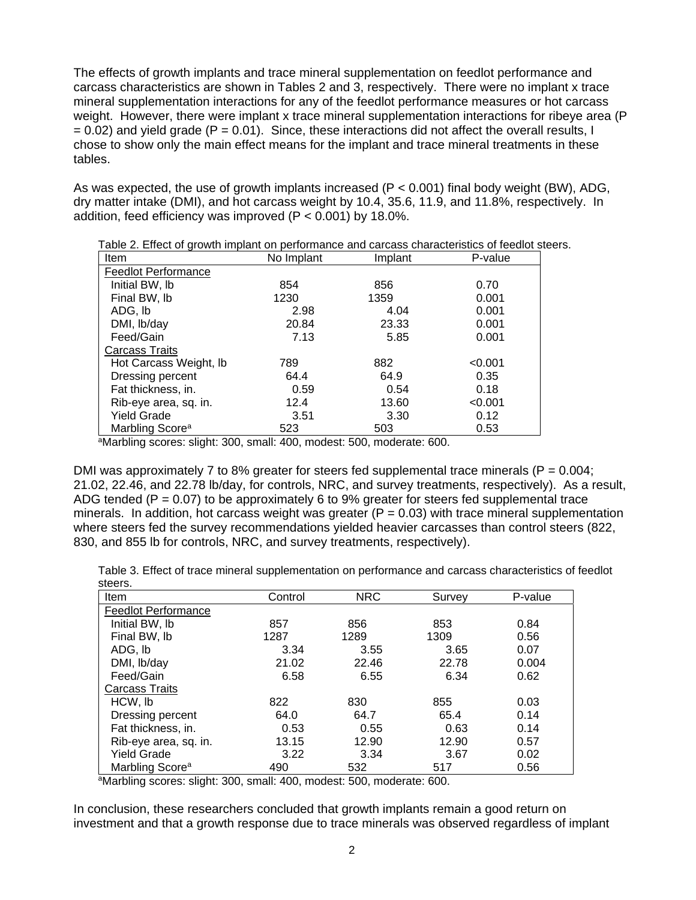The effects of growth implants and trace mineral supplementation on feedlot performance and carcass characteristics are shown in Tables 2 and 3, respectively. There were no implant x trace mineral supplementation interactions for any of the feedlot performance measures or hot carcass weight. However, there were implant x trace mineral supplementation interactions for ribeye area (P  $= 0.02$ ) and yield grade (P  $= 0.01$ ). Since, these interactions did not affect the overall results, I chose to show only the main effect means for the implant and trace mineral treatments in these tables.

As was expected, the use of growth implants increased ( $P < 0.001$ ) final body weight (BW), ADG, dry matter intake (DMI), and hot carcass weight by 10.4, 35.6, 11.9, and 11.8%, respectively. In addition, feed efficiency was improved (P < 0.001) by 18.0%.

| rapid E. Enote or growth implant on portormance and carcace characteristics or recalet a<br>Item | No Implant<br>Implant |       | P-value |
|--------------------------------------------------------------------------------------------------|-----------------------|-------|---------|
| <b>Feedlot Performance</b>                                                                       |                       |       |         |
| Initial BW, Ib                                                                                   | 854                   | 856   | 0.70    |
| Final BW, Ib                                                                                     | 1230                  | 1359  | 0.001   |
| ADG, lb                                                                                          | 2.98                  | 4.04  | 0.001   |
| DMI, lb/day                                                                                      | 20.84                 | 23.33 | 0.001   |
| Feed/Gain                                                                                        | 7.13                  | 5.85  | 0.001   |
| Carcass Traits                                                                                   |                       |       |         |
| Hot Carcass Weight, Ib                                                                           | 789                   | 882   | < 0.001 |
| Dressing percent                                                                                 | 64.4                  | 64.9  | 0.35    |
| Fat thickness, in.                                                                               | 0.59                  | 0.54  | 0.18    |
| Rib-eye area, sq. in.                                                                            | 12.4                  | 13.60 | < 0.001 |
| <b>Yield Grade</b>                                                                               | 3.51                  | 3.30  | 0.12    |
| Marbling Score <sup>a</sup>                                                                      | 523                   | 503   | 0.53    |

Table 2. Effect of growth implant on performance and carcass characteristics of feedlot steers.

<sup>a</sup>Marbling scores: slight: 300, small: 400, modest: 500, moderate: 600.

DMI was approximately 7 to 8% greater for steers fed supplemental trace minerals ( $P = 0.004$ ) 21.02, 22.46, and 22.78 lb/day, for controls, NRC, and survey treatments, respectively). As a result, ADG tended ( $P = 0.07$ ) to be approximately 6 to 9% greater for steers fed supplemental trace minerals. In addition, hot carcass weight was greater  $(P = 0.03)$  with trace mineral supplementation where steers fed the survey recommendations yielded heavier carcasses than control steers (822, 830, and 855 lb for controls, NRC, and survey treatments, respectively).

Table 3. Effect of trace mineral supplementation on performance and carcass characteristics of feedlot steers.

| <br>Item                    | Control | <b>NRC</b> | Survey | P-value |
|-----------------------------|---------|------------|--------|---------|
| <b>Feedlot Performance</b>  |         |            |        |         |
| Initial BW, Ib              | 857     | 856        | 853    | 0.84    |
| Final BW, Ib                | 1287    | 1289       | 1309   | 0.56    |
| ADG, Ib                     | 3.34    | 3.55       | 3.65   | 0.07    |
| DMI, lb/day                 | 21.02   | 22.46      | 22.78  | 0.004   |
| Feed/Gain                   | 6.58    | 6.55       | 6.34   | 0.62    |
| <b>Carcass Traits</b>       |         |            |        |         |
| HCW, Ib                     | 822     | 830        | 855    | 0.03    |
| Dressing percent            | 64.0    | 64.7       | 65.4   | 0.14    |
| Fat thickness, in.          | 0.53    | 0.55       | 0.63   | 0.14    |
| Rib-eye area, sq. in.       | 13.15   | 12.90      | 12.90  | 0.57    |
| <b>Yield Grade</b>          | 3.22    | 3.34       | 3.67   | 0.02    |
| Marbling Score <sup>a</sup> | 490     | 532        | 517    | 0.56    |

<sup>a</sup>Marbling scores: slight: 300, small: 400, modest: 500, moderate: 600.

In conclusion, these researchers concluded that growth implants remain a good return on investment and that a growth response due to trace minerals was observed regardless of implant